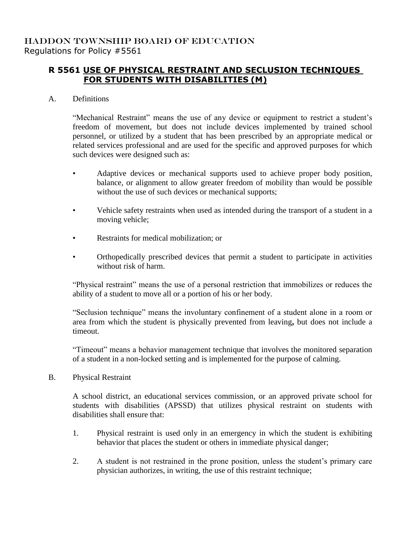## **R 5561 USE OF PHYSICAL RESTRAINT AND SECLUSION TECHNIQUES FOR STUDENTS WITH DISABILITIES (M)**

## A. Definitions

"Mechanical Restraint" means the use of any device or equipment to restrict a student's freedom of movement, but does not include devices implemented by trained school personnel, or utilized by a student that has been prescribed by an appropriate medical or related services professional and are used for the specific and approved purposes for which such devices were designed such as:

- Adaptive devices or mechanical supports used to achieve proper body position, balance, or alignment to allow greater freedom of mobility than would be possible without the use of such devices or mechanical supports;
- Vehicle safety restraints when used as intended during the transport of a student in a moving vehicle;
- Restraints for medical mobilization; or
- Orthopedically prescribed devices that permit a student to participate in activities without risk of harm.

"Physical restraint" means the use of a personal restriction that immobilizes or reduces the ability of a student to move all or a portion of his or her body.

"Seclusion technique" means the involuntary confinement of a student alone in a room or area from which the student is physically prevented from leaving**,** but does not include a timeout.

"Timeout" means a behavior management technique that involves the monitored separation of a student in a non-locked setting and is implemented for the purpose of calming.

B. Physical Restraint

A school district, an educational services commission, or an approved private school for students with disabilities (APSSD) that utilizes physical restraint on students with disabilities shall ensure that:

- 1. Physical restraint is used only in an emergency in which the student is exhibiting behavior that places the student or others in immediate physical danger;
- 2. A student is not restrained in the prone position, unless the student's primary care physician authorizes, in writing, the use of this restraint technique;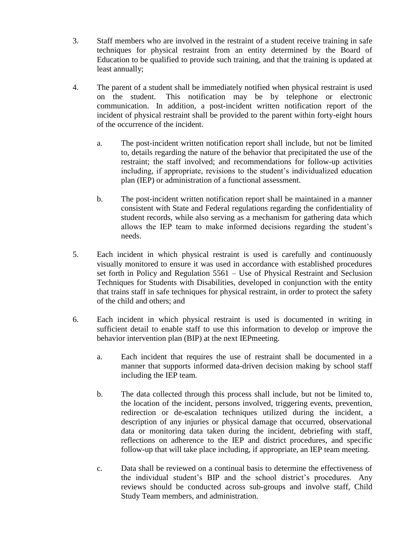- 3. Staff members who are involved in the restraint of a student receive training in safe techniques for physical restraint from an entity determined by the Board of Education to be qualified to provide such training, and that the training is updated at least annually;
- 4. The parent of a student shall be immediately notified when physical restraint is used on the student. This notification may be by telephone or electronic communication. In addition, a post-incident written notification report of the incident of physical restraint shall be provided to the parent within forty-eight hours of the occurrence of the incident.
	- a. The post-incident written notification report shall include, but not be limited to, details regarding the nature of the behavior that precipitated the use of the restraint; the staff involved; and recommendations for follow-up activities including, if appropriate, revisions to the student's individualized education plan (IEP) or administration of a functional assessment.
	- b. The post-incident written notification report shall be maintained in a manner consistent with State and Federal regulations regarding the confidentiality of student records, while also serving as a mechanism for gathering data which allows the IEP team to make informed decisions regarding the student's needs.
- 5. Each incident in which physical restraint is used is carefully and continuously visually monitored to ensure it was used in accordance with established procedures set forth in Policy and Regulation 5561 – Use of Physical Restraint and Seclusion Techniques for Students with Disabilities, developed in conjunction with the entity that trains staff in safe techniques for physical restraint, in order to protect the safety of the child and others; and
- 6. Each incident in which physical restraint is used is documented in writing in sufficient detail to enable staff to use this information to develop or improve the behavior intervention plan (BIP) at the next IEPmeeting.
	- a. Each incident that requires the use of restraint shall be documented in a manner that supports informed data-driven decision making by school staff including the IEP team.
	- b. The data collected through this process shall include, but not be limited to, the location of the incident, persons involved, triggering events, prevention, redirection or de-escalation techniques utilized during the incident, a description of any injuries or physical damage that occurred, observational data or monitoring data taken during the incident, debriefing with staff, reflections on adherence to the IEP and district procedures, and specific follow-up that will take place including, if appropriate, an IEP team meeting.
	- c. Data shall be reviewed on a continual basis to determine the effectiveness of the individual student's BIP and the school district's procedures. Any reviews should be conducted across sub-groups and involve staff, Child Study Team members, and administration.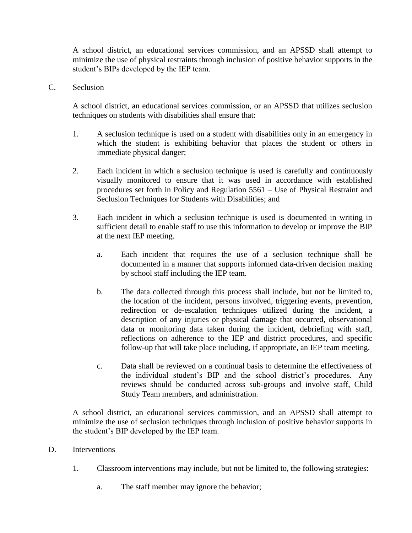A school district, an educational services commission, and an APSSD shall attempt to minimize the use of physical restraints through inclusion of positive behavior supports in the student's BIPs developed by the IEP team.

C. Seclusion

A school district, an educational services commission, or an APSSD that utilizes seclusion techniques on students with disabilities shall ensure that:

- 1. A seclusion technique is used on a student with disabilities only in an emergency in which the student is exhibiting behavior that places the student or others in immediate physical danger;
- 2. Each incident in which a seclusion technique is used is carefully and continuously visually monitored to ensure that it was used in accordance with established procedures set forth in Policy and Regulation 5561 – Use of Physical Restraint and Seclusion Techniques for Students with Disabilities; and
- 3. Each incident in which a seclusion technique is used is documented in writing in sufficient detail to enable staff to use this information to develop or improve the BIP at the next IEP meeting.
	- a. Each incident that requires the use of a seclusion technique shall be documented in a manner that supports informed data-driven decision making by school staff including the IEP team.
	- b. The data collected through this process shall include, but not be limited to, the location of the incident, persons involved, triggering events, prevention, redirection or de-escalation techniques utilized during the incident, a description of any injuries or physical damage that occurred, observational data or monitoring data taken during the incident, debriefing with staff, reflections on adherence to the IEP and district procedures, and specific follow-up that will take place including, if appropriate, an IEP team meeting.
	- c. Data shall be reviewed on a continual basis to determine the effectiveness of the individual student's BIP and the school district's procedures. Any reviews should be conducted across sub-groups and involve staff, Child Study Team members, and administration.

A school district, an educational services commission, and an APSSD shall attempt to minimize the use of seclusion techniques through inclusion of positive behavior supports in the student's BIP developed by the IEP team.

- D. Interventions
	- 1. Classroom interventions may include, but not be limited to, the following strategies:
		- a. The staff member may ignore the behavior;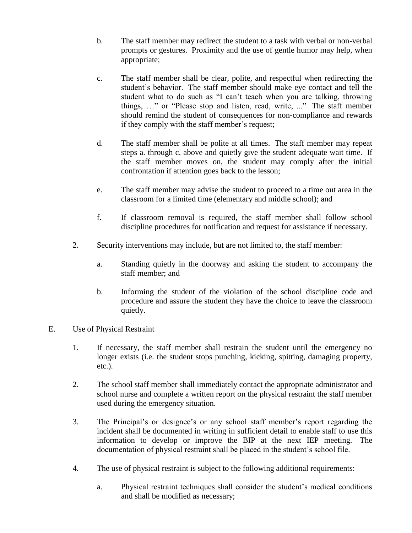- b. The staff member may redirect the student to a task with verbal or non-verbal prompts or gestures. Proximity and the use of gentle humor may help, when appropriate;
- c. The staff member shall be clear, polite, and respectful when redirecting the student's behavior. The staff member should make eye contact and tell the student what to do such as "I can't teach when you are talking, throwing things, …" or "Please stop and listen, read, write, ..." The staff member should remind the student of consequences for non-compliance and rewards if they comply with the staff member's request;
- d. The staff member shall be polite at all times. The staff member may repeat steps a. through c. above and quietly give the student adequate wait time. If the staff member moves on, the student may comply after the initial confrontation if attention goes back to the lesson;
- e. The staff member may advise the student to proceed to a time out area in the classroom for a limited time (elementary and middle school); and
- f. If classroom removal is required, the staff member shall follow school discipline procedures for notification and request for assistance if necessary.
- 2. Security interventions may include, but are not limited to, the staff member:
	- a. Standing quietly in the doorway and asking the student to accompany the staff member; and
	- b. Informing the student of the violation of the school discipline code and procedure and assure the student they have the choice to leave the classroom quietly.
- E. Use of Physical Restraint
	- 1. If necessary, the staff member shall restrain the student until the emergency no longer exists (i.e. the student stops punching, kicking, spitting, damaging property, etc.).
	- 2. The school staff member shall immediately contact the appropriate administrator and school nurse and complete a written report on the physical restraint the staff member used during the emergency situation.
	- 3. The Principal's or designee's or any school staff member's report regarding the incident shall be documented in writing in sufficient detail to enable staff to use this information to develop or improve the BIP at the next IEP meeting. The documentation of physical restraint shall be placed in the student's school file.
	- 4. The use of physical restraint is subject to the following additional requirements:
		- a. Physical restraint techniques shall consider the student's medical conditions and shall be modified as necessary;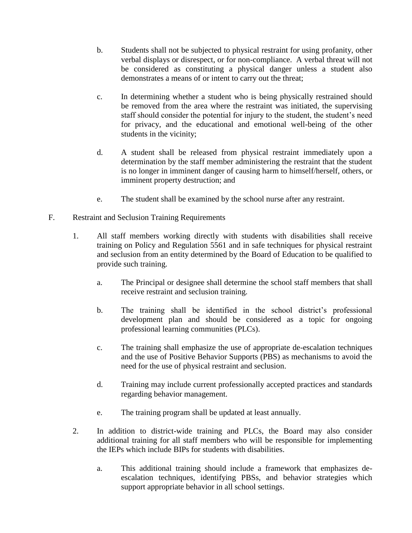- b. Students shall not be subjected to physical restraint for using profanity, other verbal displays or disrespect, or for non-compliance. A verbal threat will not be considered as constituting a physical danger unless a student also demonstrates a means of or intent to carry out the threat;
- c. In determining whether a student who is being physically restrained should be removed from the area where the restraint was initiated, the supervising staff should consider the potential for injury to the student, the student's need for privacy, and the educational and emotional well-being of the other students in the vicinity;
- d. A student shall be released from physical restraint immediately upon a determination by the staff member administering the restraint that the student is no longer in imminent danger of causing harm to himself/herself, others, or imminent property destruction; and
- e. The student shall be examined by the school nurse after any restraint.
- F. Restraint and Seclusion Training Requirements
	- 1. All staff members working directly with students with disabilities shall receive training on Policy and Regulation 5561 and in safe techniques for physical restraint and seclusion from an entity determined by the Board of Education to be qualified to provide such training.
		- a. The Principal or designee shall determine the school staff members that shall receive restraint and seclusion training.
		- b. The training shall be identified in the school district's professional development plan and should be considered as a topic for ongoing professional learning communities (PLCs).
		- c. The training shall emphasize the use of appropriate de-escalation techniques and the use of Positive Behavior Supports (PBS) as mechanisms to avoid the need for the use of physical restraint and seclusion.
		- d. Training may include current professionally accepted practices and standards regarding behavior management.
		- e. The training program shall be updated at least annually.
	- 2. In addition to district-wide training and PLCs, the Board may also consider additional training for all staff members who will be responsible for implementing the IEPs which include BIPs for students with disabilities.
		- a. This additional training should include a framework that emphasizes deescalation techniques, identifying PBSs, and behavior strategies which support appropriate behavior in all school settings.